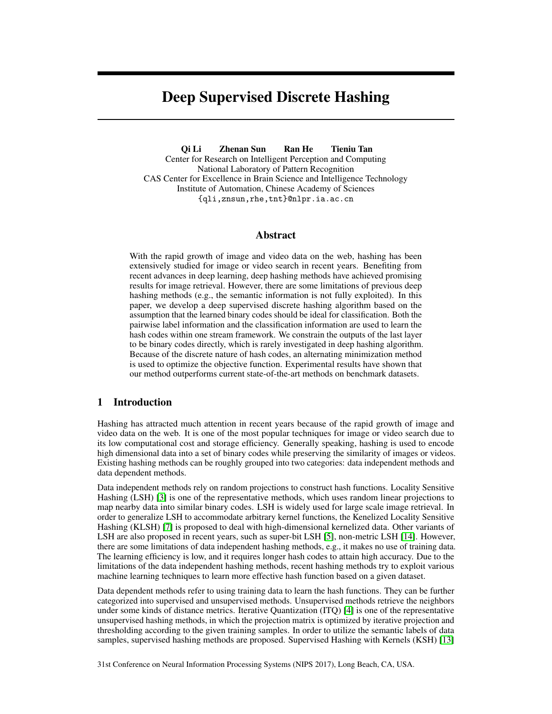# Deep Supervised Discrete Hashing

Qi Li Zhenan Sun Ran He Tieniu Tan Center for Research on Intelligent Perception and Computing National Laboratory of Pattern Recognition CAS Center for Excellence in Brain Science and Intelligence Technology Institute of Automation, Chinese Academy of Sciences {qli,znsun,rhe,tnt}@nlpr.ia.ac.cn

## Abstract

With the rapid growth of image and video data on the web, hashing has been extensively studied for image or video search in recent years. Benefiting from recent advances in deep learning, deep hashing methods have achieved promising results for image retrieval. However, there are some limitations of previous deep hashing methods (e.g., the semantic information is not fully exploited). In this paper, we develop a deep supervised discrete hashing algorithm based on the assumption that the learned binary codes should be ideal for classification. Both the pairwise label information and the classification information are used to learn the hash codes within one stream framework. We constrain the outputs of the last layer to be binary codes directly, which is rarely investigated in deep hashing algorithm. Because of the discrete nature of hash codes, an alternating minimization method is used to optimize the objective function. Experimental results have shown that our method outperforms current state-of-the-art methods on benchmark datasets.

# 1 Introduction

Hashing has attracted much attention in recent years because of the rapid growth of image and video data on the web. It is one of the most popular techniques for image or video search due to its low computational cost and storage efficiency. Generally speaking, hashing is used to encode high dimensional data into a set of binary codes while preserving the similarity of images or videos. Existing hashing methods can be roughly grouped into two categories: data independent methods and data dependent methods.

Data independent methods rely on random projections to construct hash functions. Locality Sensitive Hashing (LSH) [3] is one of the representative methods, which uses random linear projections to map nearby data into similar binary codes. LSH is widely used for large scale image retrieval. In order to generalize LSH to accommodate arbitrary kernel functions, the Kenelized Locality Sensitive Hashing (KLSH) [7] is proposed to deal with high-dimensional kernelized data. Other variants of LSH are also proposed in recent years, such as super-bit LSH [5], non-metric LSH [14]. However, there are some limitations of data independent hashing methods, e.g., it makes no use of training data. The learning efficiency is low, and it requires longer hash codes to attain high accuracy. Due to the limitations of the data independent hashing methods, recent hashing methods try to exploit various machine learning techniques to learn more effective hash function based on a given dataset.

Data dependent methods refer to using training data to learn the hash functions. They can be further categorized into supervised and unsupervised methods. Unsupervised methods retrieve the neighbors under some kinds of distance metrics. Iterative Quantization (ITQ) [4] is one of the representative unsupervised hashing methods, in which the projection matrix is optimized by iterative projection and thresholding according to the given training samples. In order to utilize the semantic labels of data samples, supervised hashing methods are proposed. Supervised Hashing with Kernels (KSH) [13]

31st Conference on Neural Information Processing Systems (NIPS 2017), Long Beach, CA, USA.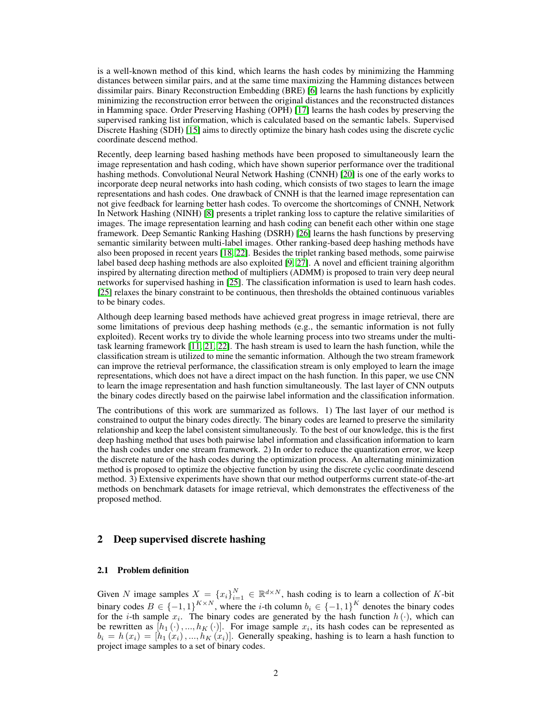is a well-known method of this kind, which learns the hash codes by minimizing the Hamming distances between similar pairs, and at the same time maximizing the Hamming distances between dissimilar pairs. Binary Reconstruction Embedding (BRE) [6] learns the hash functions by explicitly minimizing the reconstruction error between the original distances and the reconstructed distances in Hamming space. Order Preserving Hashing (OPH) [17] learns the hash codes by preserving the supervised ranking list information, which is calculated based on the semantic labels. Supervised Discrete Hashing (SDH) [15] aims to directly optimize the binary hash codes using the discrete cyclic coordinate descend method.

Recently, deep learning based hashing methods have been proposed to simultaneously learn the image representation and hash coding, which have shown superior performance over the traditional hashing methods. Convolutional Neural Network Hashing (CNNH) [20] is one of the early works to incorporate deep neural networks into hash coding, which consists of two stages to learn the image representations and hash codes. One drawback of CNNH is that the learned image representation can not give feedback for learning better hash codes. To overcome the shortcomings of CNNH, Network In Network Hashing (NINH) [8] presents a triplet ranking loss to capture the relative similarities of images. The image representation learning and hash coding can benefit each other within one stage framework. Deep Semantic Ranking Hashing (DSRH) [26] learns the hash functions by preserving semantic similarity between multi-label images. Other ranking-based deep hashing methods have also been proposed in recent years [18, 22]. Besides the triplet ranking based methods, some pairwise label based deep hashing methods are also exploited [9, 27]. A novel and efficient training algorithm inspired by alternating direction method of multipliers (ADMM) is proposed to train very deep neural networks for supervised hashing in [25]. The classification information is used to learn hash codes. [25] relaxes the binary constraint to be continuous, then thresholds the obtained continuous variables to be binary codes.

Although deep learning based methods have achieved great progress in image retrieval, there are some limitations of previous deep hashing methods (e.g., the semantic information is not fully exploited). Recent works try to divide the whole learning process into two streams under the multitask learning framework [11, 21, 22]. The hash stream is used to learn the hash function, while the classification stream is utilized to mine the semantic information. Although the two stream framework can improve the retrieval performance, the classification stream is only employed to learn the image representations, which does not have a direct impact on the hash function. In this paper, we use CNN to learn the image representation and hash function simultaneously. The last layer of CNN outputs the binary codes directly based on the pairwise label information and the classification information.

The contributions of this work are summarized as follows. 1) The last layer of our method is constrained to output the binary codes directly. The binary codes are learned to preserve the similarity relationship and keep the label consistent simultaneously. To the best of our knowledge, this is the first deep hashing method that uses both pairwise label information and classification information to learn the hash codes under one stream framework. 2) In order to reduce the quantization error, we keep the discrete nature of the hash codes during the optimization process. An alternating minimization method is proposed to optimize the objective function by using the discrete cyclic coordinate descend method. 3) Extensive experiments have shown that our method outperforms current state-of-the-art methods on benchmark datasets for image retrieval, which demonstrates the effectiveness of the proposed method.

## 2 Deep supervised discrete hashing

## 2.1 Problem definition

Given N image samples  $X = \{x_i\}_{i=1}^N \in \mathbb{R}^{d \times N}$ , hash coding is to learn a collection of K-bit binary codes  $B \in \{-1,1\}^{K \times N}$ , where the *i*-th column  $b_i \in \{-1,1\}^K$  denotes the binary codes for the *i*-th sample  $x_i$ . The binary codes are generated by the hash function  $h(\cdot)$ , which can be rewritten as  $[h_1(\cdot),...,h_K(\cdot)]$ . For image sample  $x_i$ , its hash codes can be represented as  $b_i = h(x_i) = [h_1(x_i),...,h_K(x_i)]$ . Generally speaking, hashing is to learn a hash function to project image samples to a set of binary codes.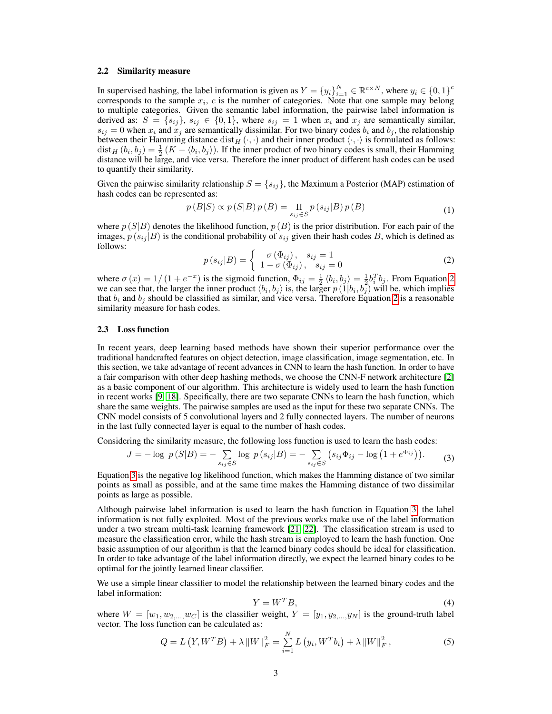#### 2.2 Similarity measure

In supervised hashing, the label information is given as  $Y = \{y_i\}_{i=1}^N \in \mathbb{R}^{c \times N}$ , where  $y_i \in \{0, 1\}^c$ corresponds to the sample  $x_i$ ,  $c$  is the number of categories. Note that one sample may belong to multiple categories. Given the semantic label information, the pairwise label information is derived as:  $S = \{s_{ij}\}\$ ,  $s_{ij} \in \{0, 1\}$ , where  $s_{ij} = 1$  when  $x_i$  and  $x_j$  are semantically similar,  $s_{ij} = 0$  when  $x_i$  and  $x_j$  are semantically dissimilar. For two binary codes  $b_i$  and  $b_j$ , the relationship between their Hamming distance  $dist_H(\cdot, \cdot)$  and their inner product  $\langle \cdot, \cdot \rangle$  is formulated as follows:  $\text{dist}_H(b_i, b_j) = \frac{1}{2}(K - \langle b_i, b_j \rangle)$ . If the inner product of two binary codes is small, their Hamming distance will be large, and vice versa. Therefore the inner product of different hash codes can be used to quantify their similarity.

Given the pairwise similarity relationship  $S = \{s_{ij}\}\$ , the Maximum a Posterior (MAP) estimation of hash codes can be represented as:

$$
p(B|S) \propto p(S|B) p(B) = \prod_{s_{ij} \in S} p(s_{ij}|B) p(B)
$$
\n(1)

where  $p(S|B)$  denotes the likelihood function,  $p(B)$  is the prior distribution. For each pair of the images,  $p(s_{ij} | B)$  is the conditional probability of  $s_{ij}$  given their hash codes B, which is defined as follows:

$$
p(s_{ij}|B) = \begin{cases} \sigma(\Phi_{ij}), & s_{ij} = 1\\ 1 - \sigma(\Phi_{ij}), & s_{ij} = 0 \end{cases}
$$
 (2)

where  $\sigma(x) = 1/(1 + e^{-x})$  is the sigmoid function,  $\Phi_{ij} = \frac{1}{2} \langle b_i, b_j \rangle = \frac{1}{2} b_i^T b_j$ . From Equation 2 we can see that, the larger the inner product  $\langle b_i, b_j \rangle$  is, the larger  $p(1|b_i, b_j)$  will be, which implies that  $b_i$  and  $b_j$  should be classified as similar, and vice versa. Therefore Equation 2 is a reasonable similarity measure for hash codes.

#### 2.3 Loss function

In recent years, deep learning based methods have shown their superior performance over the traditional handcrafted features on object detection, image classification, image segmentation, etc. In this section, we take advantage of recent advances in CNN to learn the hash function. In order to have a fair comparison with other deep hashing methods, we choose the CNN-F network architecture [2] as a basic component of our algorithm. This architecture is widely used to learn the hash function in recent works [9, 18]. Specifically, there are two separate CNNs to learn the hash function, which share the same weights. The pairwise samples are used as the input for these two separate CNNs. The CNN model consists of 5 convolutional layers and 2 fully connected layers. The number of neurons in the last fully connected layer is equal to the number of hash codes.

Considering the similarity measure, the following loss function is used to learn the hash codes:

$$
J = -\log p(S|B) = -\sum_{s_{ij} \in S} \log p(s_{ij}|B) = -\sum_{s_{ij} \in S} (s_{ij}\Phi_{ij} - \log(1 + e^{\Phi_{ij}})).
$$
 (3)

Equation 3 is the negative log likelihood function, which makes the Hamming distance of two similar points as small as possible, and at the same time makes the Hamming distance of two dissimilar points as large as possible.

Although pairwise label information is used to learn the hash function in Equation 3, the label information is not fully exploited. Most of the previous works make use of the label information under a two stream multi-task learning framework [21, 22]. The classification stream is used to measure the classification error, while the hash stream is employed to learn the hash function. One basic assumption of our algorithm is that the learned binary codes should be ideal for classification. In order to take advantage of the label information directly, we expect the learned binary codes to be optimal for the jointly learned linear classifier.

We use a simple linear classifier to model the relationship between the learned binary codes and the label information:

$$
Y = W^T B,\tag{4}
$$

where  $W = [w_1, w_2, ..., w_C]$  is the classifier weight,  $Y = [y_1, y_2, ..., y_N]$  is the ground-truth label vector. The loss function can be calculated as:

$$
Q = L(Y, W^T B) + \lambda \|W\|_F^2 = \sum_{i=1}^N L(y_i, W^T b_i) + \lambda \|W\|_F^2,
$$
\n(5)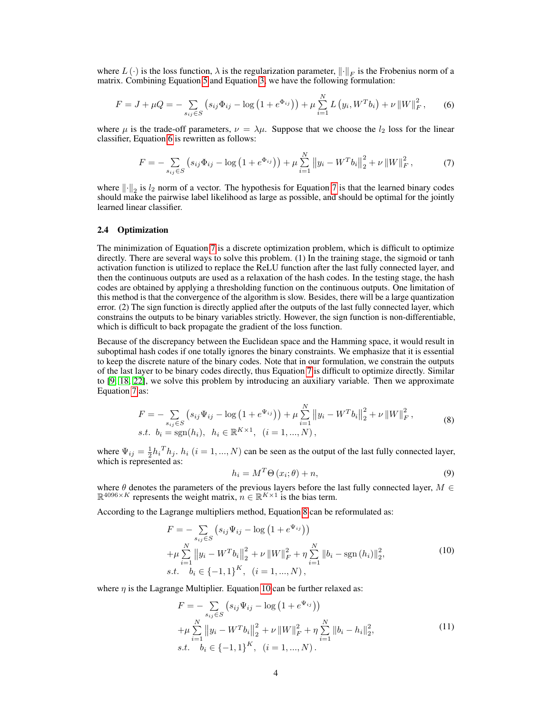where  $L(\cdot)$  is the loss function,  $\lambda$  is the regularization parameter,  $\lVert \cdot \rVert_F$  is the Frobenius norm of a matrix. Combining Equation 5 and Equation 3, we have the following formulation:

$$
F = J + \mu Q = -\sum_{s_{ij} \in S} \left( s_{ij} \Phi_{ij} - \log \left( 1 + e^{\Phi_{ij}} \right) \right) + \mu \sum_{i=1}^{N} L \left( y_i, W^T b_i \right) + \nu \left\| W \right\|_F^2, \tag{6}
$$

where  $\mu$  is the trade-off parameters,  $\nu = \lambda \mu$ . Suppose that we choose the  $l_2$  loss for the linear classifier, Equation 6 is rewritten as follows:

$$
F = -\sum_{s_{ij} \in S} \left( s_{ij} \Phi_{ij} - \log \left( 1 + e^{\Phi_{ij}} \right) \right) + \mu \sum_{i=1}^{N} \left\| y_i - W^T b_i \right\|_2^2 + \nu \left\| W \right\|_F^2, \tag{7}
$$

where  $\lVert \cdot \rVert_2$  is  $l_2$  norm of a vector. The hypothesis for Equation 7 is that the learned binary codes should make the pairwise label likelihood as large as possible, and should be optimal for the jointly learned linear classifier.

#### 2.4 Optimization

The minimization of Equation 7 is a discrete optimization problem, which is difficult to optimize directly. There are several ways to solve this problem. (1) In the training stage, the sigmoid or tanh activation function is utilized to replace the ReLU function after the last fully connected layer, and then the continuous outputs are used as a relaxation of the hash codes. In the testing stage, the hash codes are obtained by applying a thresholding function on the continuous outputs. One limitation of this method is that the convergence of the algorithm is slow. Besides, there will be a large quantization error. (2) The sign function is directly applied after the outputs of the last fully connected layer, which constrains the outputs to be binary variables strictly. However, the sign function is non-differentiable, which is difficult to back propagate the gradient of the loss function.

Because of the discrepancy between the Euclidean space and the Hamming space, it would result in suboptimal hash codes if one totally ignores the binary constraints. We emphasize that it is essential to keep the discrete nature of the binary codes. Note that in our formulation, we constrain the outputs of the last layer to be binary codes directly, thus Equation 7 is difficult to optimize directly. Similar to [9, 18, 22], we solve this problem by introducing an auxiliary variable. Then we approximate Equation 7 as:

$$
F = -\sum_{s_{ij} \in S} \left( s_{ij} \Psi_{ij} - \log \left( 1 + e^{\Psi_{ij}} \right) \right) + \mu \sum_{i=1}^{N} \left\| y_i - W^T b_i \right\|_2^2 + \nu \left\| W \right\|_F^2,
$$
  
s.t.  $b_i = \text{sgn}(h_i), \ h_i \in \mathbb{R}^{K \times 1}, \ (i = 1, ..., N),$  (8)

where  $\Psi_{ij} = \frac{1}{2} h_i^T h_j$ .  $h_i$   $(i = 1, ..., N)$  can be seen as the output of the last fully connected layer, which is represented as:

$$
h_i = M^T \Theta \left( x_i; \theta \right) + n,\tag{9}
$$

where  $\theta$  denotes the parameters of the previous layers before the last fully connected layer,  $M \in$  $\mathbb{R}^{4096 \times K}$  represents the weight matrix,  $n \in \mathbb{R}^{K \times 1}$  is the bias term.

According to the Lagrange multipliers method, Equation 8 can be reformulated as:

$$
F = -\sum_{s_{ij} \in S} (s_{ij} \Psi_{ij} - \log (1 + e^{\Psi_{ij}}))
$$
  
+  $\mu \sum_{i=1}^{N} ||y_i - W^T b_i||_2^2 + \nu ||W||_F^2 + \eta \sum_{i=1}^{N} ||b_i - \text{sgn}(h_i)||_2^2,$   
s.t.  $b_i \in \{-1, 1\}^K$ ,  $(i = 1, ..., N)$ , (10)

where  $\eta$  is the Lagrange Multiplier. Equation 10 can be further relaxed as:

$$
F = -\sum_{s_{ij} \in S} (s_{ij} \Psi_{ij} - \log (1 + e^{\Psi_{ij}}))
$$
  
+  $\mu \sum_{i=1}^{N} ||y_i - W^T b_i||_2^2 + \nu ||W||_F^2 + \eta \sum_{i=1}^{N} ||b_i - h_i||_2^2,$   
s.t.  $b_i \in \{-1, 1\}^K$ ,  $(i = 1, ..., N)$ . (11)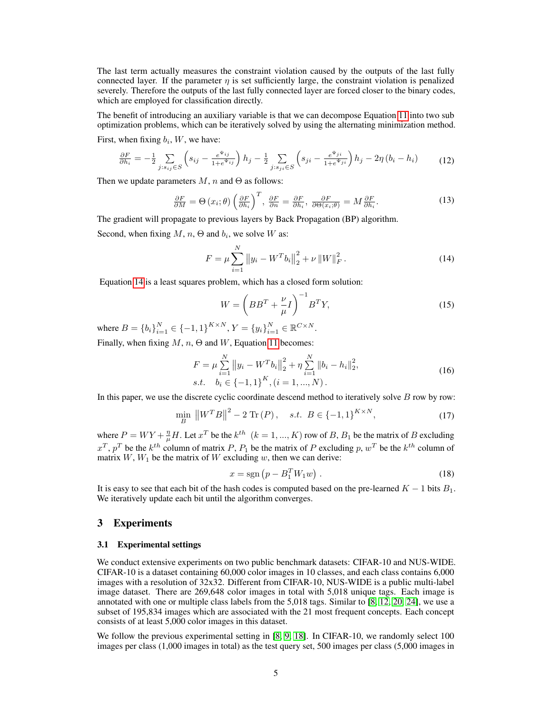The last term actually measures the constraint violation caused by the outputs of the last fully connected layer. If the parameter  $n$  is set sufficiently large, the constraint violation is penalized severely. Therefore the outputs of the last fully connected layer are forced closer to the binary codes, which are employed for classification directly.

The benefit of introducing an auxiliary variable is that we can decompose Equation 11 into two sub optimization problems, which can be iteratively solved by using the alternating minimization method.

First, when fixing  $b_i$ , W, we have:

$$
\frac{\partial F}{\partial h_i} = -\frac{1}{2} \sum_{j:s_{ij} \in S} \left( s_{ij} - \frac{e^{\Psi_{ij}}}{1 + e^{\Psi_{ij}}} \right) h_j - \frac{1}{2} \sum_{j:s_{ji} \in S} \left( s_{ji} - \frac{e^{\Psi_{ji}}}{1 + e^{\Psi_{ji}}} \right) h_j - 2\eta \left( b_i - h_i \right) \tag{12}
$$

Then we update parameters  $M$ , n and  $\Theta$  as follows:

$$
\frac{\partial F}{\partial M} = \Theta(x_i; \theta) \left(\frac{\partial F}{\partial h_i}\right)^T, \frac{\partial F}{\partial n} = \frac{\partial F}{\partial h_i}, \frac{\partial F}{\partial \Theta(x_i; \theta)} = M \frac{\partial F}{\partial h_i}.
$$
 (13)

The gradient will propagate to previous layers by Back Propagation (BP) algorithm.

Second, when fixing  $M$ ,  $n$ ,  $\Theta$  and  $b_i$ , we solve  $W$  as:

$$
F = \mu \sum_{i=1}^{N} ||y_i - W^T b_i||_2^2 + \nu ||W||_F^2.
$$
 (14)

Equation 14 is a least squares problem, which has a closed form solution:

$$
W = \left( BB^T + \frac{\nu}{\mu} I \right)^{-1} B^T Y,
$$
\n(15)

where  $B = \{b_i\}_{i=1}^N \in \{-1, 1\}^{K \times N}, Y = \{y_i\}_{i=1}^N \in \mathbb{R}^{C \times N}.$ 

Finally, when fixing  $M$ ,  $n$ ,  $\Theta$  and  $W$ , Equation 11 becomes:

$$
F = \mu \sum_{i=1}^{N} \|y_i - W^T b_i\|_2^2 + \eta \sum_{i=1}^{N} \|b_i - h_i\|_2^2,
$$
  
s.t.  $b_i \in \{-1, 1\}^K, (i = 1, ..., N).$  (16)

In this paper, we use the discrete cyclic coordinate descend method to iteratively solve  $B$  row by row:

$$
\min_{B} \|W^T B\|^2 - 2 \text{ Tr}(P), \quad s.t. \ B \in \{-1, 1\}^{K \times N}, \tag{17}
$$

where  $P = WY + \frac{\eta}{\mu}H$ . Let  $x^T$  be the  $k^{th}$   $(k = 1, ..., K)$  row of B,  $B_1$  be the matrix of B excluding  $x^T$ ,  $p^T$  be the  $k^{th}$  column of matrix P,  $P_1$  be the matrix of P excluding p,  $w^T$  be the  $k^{th}$  column of matrix  $W, W_1$  be the matrix of W excluding w, then we can derive:

$$
x = \text{sgn}\left(p - B_1^T W_1 w\right). \tag{18}
$$

It is easy to see that each bit of the hash codes is computed based on the pre-learned  $K - 1$  bits  $B_1$ . We iteratively update each bit until the algorithm converges.

## 3 Experiments

### 3.1 Experimental settings

We conduct extensive experiments on two public benchmark datasets: CIFAR-10 and NUS-WIDE. CIFAR-10 is a dataset containing 60,000 color images in 10 classes, and each class contains 6,000 images with a resolution of 32x32. Different from CIFAR-10, NUS-WIDE is a public multi-label image dataset. There are 269,648 color images in total with 5,018 unique tags. Each image is annotated with one or multiple class labels from the 5,018 tags. Similar to [8, 12, 20, 24], we use a subset of 195,834 images which are associated with the 21 most frequent concepts. Each concept consists of at least 5,000 color images in this dataset.

We follow the previous experimental setting in [8, 9, 18]. In CIFAR-10, we randomly select 100 images per class (1,000 images in total) as the test query set, 500 images per class (5,000 images in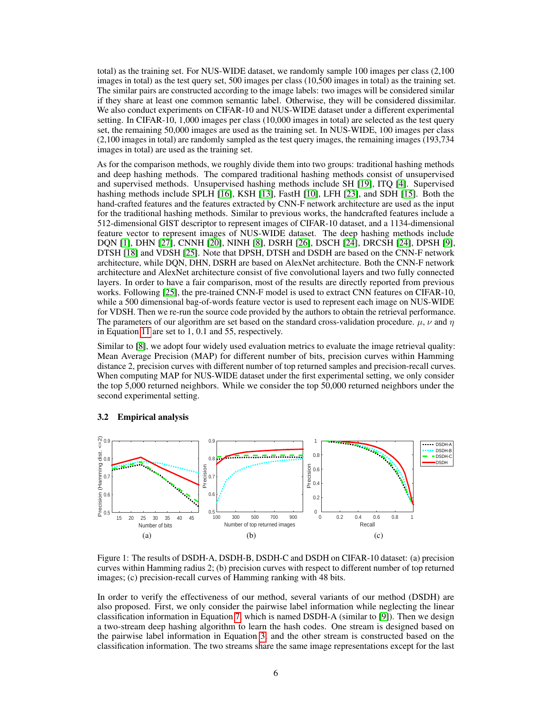total) as the training set. For NUS-WIDE dataset, we randomly sample 100 images per class (2,100 images in total) as the test query set, 500 images per class (10,500 images in total) as the training set. The similar pairs are constructed according to the image labels: two images will be considered similar if they share at least one common semantic label. Otherwise, they will be considered dissimilar. We also conduct experiments on CIFAR-10 and NUS-WIDE dataset under a different experimental setting. In CIFAR-10, 1,000 images per class (10,000 images in total) are selected as the test query set, the remaining 50,000 images are used as the training set. In NUS-WIDE, 100 images per class (2,100 images in total) are randomly sampled as the test query images, the remaining images (193,734 images in total) are used as the training set.

As for the comparison methods, we roughly divide them into two groups: traditional hashing methods and deep hashing methods. The compared traditional hashing methods consist of unsupervised and supervised methods. Unsupervised hashing methods include SH [19], ITQ [4]. Supervised hashing methods include SPLH [16], KSH [13], FastH [10], LFH [23], and SDH [15]. Both the hand-crafted features and the features extracted by CNN-F network architecture are used as the input for the traditional hashing methods. Similar to previous works, the handcrafted features include a 512-dimensional GIST descriptor to represent images of CIFAR-10 dataset, and a 1134-dimensional feature vector to represent images of NUS-WIDE dataset. The deep hashing methods include DQN [1], DHN [27], CNNH [20], NINH [8], DSRH [26], DSCH [24], DRCSH [24], DPSH [9], DTSH [18] and VDSH [25]. Note that DPSH, DTSH and DSDH are based on the CNN-F network architecture, while DQN, DHN, DSRH are based on AlexNet architecture. Both the CNN-F network architecture and AlexNet architecture consist of five convolutional layers and two fully connected layers. In order to have a fair comparison, most of the results are directly reported from previous works. Following [25], the pre-trained CNN-F model is used to extract CNN features on CIFAR-10, while a 500 dimensional bag-of-words feature vector is used to represent each image on NUS-WIDE for VDSH. Then we re-run the source code provided by the authors to obtain the retrieval performance. The parameters of our algorithm are set based on the standard cross-validation procedure.  $\mu$ ,  $\nu$  and  $\eta$ in Equation 11 are set to 1, 0.1 and 55, respectively.

Similar to [8], we adopt four widely used evaluation metrics to evaluate the image retrieval quality: Mean Average Precision (MAP) for different number of bits, precision curves within Hamming distance 2, precision curves with different number of top returned samples and precision-recall curves. When computing MAP for NUS-WIDE dataset under the first experimental setting, we only consider the top 5,000 returned neighbors. While we consider the top 50,000 returned neighbors under the second experimental setting.

## 3.2 Empirical analysis



Figure 1: The results of DSDH-A, DSDH-B, DSDH-C and DSDH on CIFAR-10 dataset: (a) precision curves within Hamming radius 2; (b) precision curves with respect to different number of top returned images; (c) precision-recall curves of Hamming ranking with 48 bits.

In order to verify the effectiveness of our method, several variants of our method (DSDH) are also proposed. First, we only consider the pairwise label information while neglecting the linear classification information in Equation 7, which is named DSDH-A (similar to [9]). Then we design a two-stream deep hashing algorithm to learn the hash codes. One stream is designed based on the pairwise label information in Equation 3, and the other stream is constructed based on the classification information. The two streams share the same image representations except for the last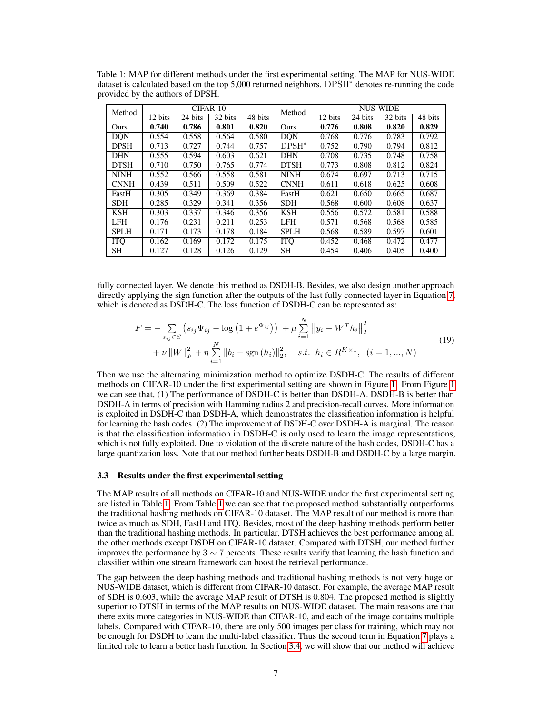| Method      | $CIFAR-10$ |         |         |         | Method      | <b>NUS-WIDE</b> |         |         |         |
|-------------|------------|---------|---------|---------|-------------|-----------------|---------|---------|---------|
|             | 12 bits    | 24 bits | 32 bits | 48 bits |             | 12 bits         | 24 bits | 32 bits | 48 bits |
| Ours        | 0.740      | 0.786   | 0.801   | 0.820   | Ours        | 0.776           | 0.808   | 0.820   | 0.829   |
| <b>DQN</b>  | 0.554      | 0.558   | 0.564   | 0.580   | DON         | 0.768           | 0.776   | 0.783   | 0.792   |
| <b>DPSH</b> | 0.713      | 0.727   | 0.744   | 0.757   | $DPSH^*$    | 0.752           | 0.790   | 0.794   | 0.812   |
| <b>DHN</b>  | 0.555      | 0.594   | 0.603   | 0.621   | <b>DHN</b>  | 0.708           | 0.735   | 0.748   | 0.758   |
| <b>DTSH</b> | 0.710      | 0.750   | 0.765   | 0.774   | <b>DTSH</b> | 0.773           | 0.808   | 0.812   | 0.824   |
| <b>NINH</b> | 0.552      | 0.566   | 0.558   | 0.581   | <b>NINH</b> | 0.674           | 0.697   | 0.713   | 0.715   |
| <b>CNNH</b> | 0.439      | 0.511   | 0.509   | 0.522   | <b>CNNH</b> | 0.611           | 0.618   | 0.625   | 0.608   |
| FastH       | 0.305      | 0.349   | 0.369   | 0.384   | FastH       | 0.621           | 0.650   | 0.665   | 0.687   |
| <b>SDH</b>  | 0.285      | 0.329   | 0.341   | 0.356   | <b>SDH</b>  | 0.568           | 0.600   | 0.608   | 0.637   |
| <b>KSH</b>  | 0.303      | 0.337   | 0.346   | 0.356   | <b>KSH</b>  | 0.556           | 0.572   | 0.581   | 0.588   |
| <b>LFH</b>  | 0.176      | 0.231   | 0.211   | 0.253   | LFH         | 0.571           | 0.568   | 0.568   | 0.585   |
| <b>SPLH</b> | 0.171      | 0.173   | 0.178   | 0.184   | <b>SPLH</b> | 0.568           | 0.589   | 0.597   | 0.601   |
| <b>ITO</b>  | 0.162      | 0.169   | 0.172   | 0.175   | <b>TTQ</b>  | 0.452           | 0.468   | 0.472   | 0.477   |
| <b>SH</b>   | 0.127      | 0.128   | 0.126   | 0.129   | SН          | 0.454           | 0.406   | 0.405   | 0.400   |

Table 1: MAP for different methods under the first experimental setting. The MAP for NUS-WIDE dataset is calculated based on the top 5,000 returned neighbors. DPSH<sup> $\ast$ </sup> denotes re-running the code provided by the authors of DPSH.

fully connected layer. We denote this method as DSDH-B. Besides, we also design another approach directly applying the sign function after the outputs of the last fully connected layer in Equation 7, which is denoted as DSDH-C. The loss function of DSDH-C can be represented as:

$$
F = -\sum_{s_{ij} \in S} \left( s_{ij} \Psi_{ij} - \log \left( 1 + e^{\Psi_{ij}} \right) \right) + \mu \sum_{i=1}^{N} \left\| y_i - W^T h_i \right\|_2^2
$$
  
+  $\nu \left\| W \right\|_F^2 + \eta \sum_{i=1}^{N} \left\| b_i - \text{sgn} \left( h_i \right) \right\|_2^2, \quad s.t. \quad h_i \in R^{K \times 1}, \quad (i = 1, ..., N)$  (19)

 $\ddot{\phantom{0}}$ 

Then we use the alternating minimization method to optimize DSDH-C. The results of different methods on CIFAR-10 under the first experimental setting are shown in Figure 1. From Figure 1 we can see that, (1) The performance of DSDH-C is better than DSDH-A. DSDH-B is better than DSDH-A in terms of precision with Hamming radius 2 and precision-recall curves. More information is exploited in DSDH-C than DSDH-A, which demonstrates the classification information is helpful for learning the hash codes. (2) The improvement of DSDH-C over DSDH-A is marginal. The reason is that the classification information in DSDH-C is only used to learn the image representations, which is not fully exploited. Due to violation of the discrete nature of the hash codes, DSDH-C has a large quantization loss. Note that our method further beats DSDH-B and DSDH-C by a large margin.

### 3.3 Results under the first experimental setting

The MAP results of all methods on CIFAR-10 and NUS-WIDE under the first experimental setting are listed in Table 1. From Table 1 we can see that the proposed method substantially outperforms the traditional hashing methods on CIFAR-10 dataset. The MAP result of our method is more than twice as much as SDH, FastH and ITQ. Besides, most of the deep hashing methods perform better than the traditional hashing methods. In particular, DTSH achieves the best performance among all the other methods except DSDH on CIFAR-10 dataset. Compared with DTSH, our method further improves the performance by  $3 \sim 7$  percents. These results verify that learning the hash function and classifier within one stream framework can boost the retrieval performance.

The gap between the deep hashing methods and traditional hashing methods is not very huge on NUS-WIDE dataset, which is different from CIFAR-10 dataset. For example, the average MAP result of SDH is 0.603, while the average MAP result of DTSH is 0.804. The proposed method is slightly superior to DTSH in terms of the MAP results on NUS-WIDE dataset. The main reasons are that there exits more categories in NUS-WIDE than CIFAR-10, and each of the image contains multiple labels. Compared with CIFAR-10, there are only 500 images per class for training, which may not be enough for DSDH to learn the multi-label classifier. Thus the second term in Equation 7 plays a limited role to learn a better hash function. In Section 3.4, we will show that our method will achieve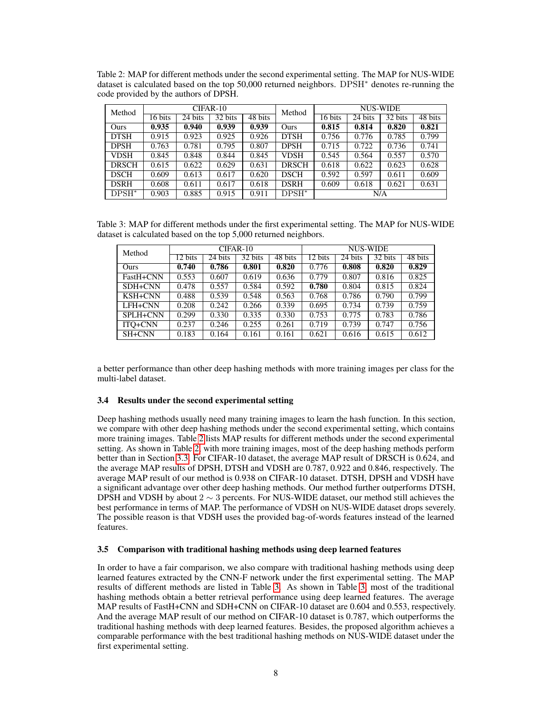Table 2: MAP for different methods under the second experimental setting. The MAP for NUS-WIDE dataset is calculated based on the top 50,000 returned neighbors. DPSH<sup>∗</sup> denotes re-running the code provided by the authors of DPSH.

| Method       | CIFAR-10 |         |         |         | Method          | <b>NUS-WIDE</b> |         |         |         |
|--------------|----------|---------|---------|---------|-----------------|-----------------|---------|---------|---------|
|              | 16 bits  | 24 bits | 32 bits | 48 bits |                 | 16 bits         | 24 bits | 32 bits | 48 bits |
| Ours         | 0.935    | 0.940   | 0.939   | 0.939   | Ours            | 0.815           | 0.814   | 0.820   | 0.821   |
| <b>DTSH</b>  | 0.915    | 0.923   | 0.925   | 0.926   | <b>DTSH</b>     | 0.756           | 0.776   | 0.785   | 0.799   |
| <b>DPSH</b>  | 0.763    | 0.781   | 0.795   | 0.807   | <b>DPSH</b>     | 0.715           | 0.722   | 0.736   | 0.741   |
| <b>VDSH</b>  | 0.845    | 0.848   | 0.844   | 0.845   | VDSH            | 0.545           | 0.564   | 0.557   | 0.570   |
| <b>DRSCH</b> | 0.615    | 0.622   | 0.629   | 0.631   | <b>DRSCH</b>    | 0.618           | 0.622   | 0.623   | 0.628   |
| <b>DSCH</b>  | 0.609    | 0.613   | 0.617   | 0.620   | <b>DSCH</b>     | 0.592           | 0.597   | 0.611   | 0.609   |
| <b>DSRH</b>  | 0.608    | 0.611   | 0.617   | 0.618   | <b>DSRH</b>     | 0.609           | 0.618   | 0.621   | 0.631   |
| $DPSH^*$     | 0.903    | 0.885   | 0.915   | 0.911   | $\text{DPSH}^*$ | N/A             |         |         |         |

Table 3: MAP for different methods under the first experimental setting. The MAP for NUS-WIDE dataset is calculated based on the top 5,000 returned neighbors.

| Method               |         |         | CIFAR-10 |         | NUS-WIDE |         |         |         |  |
|----------------------|---------|---------|----------|---------|----------|---------|---------|---------|--|
|                      | 12 bits | 24 bits | 32 bits  | 48 bits | 12 bits  | 24 bits | 32 bits | 48 bits |  |
| Ours                 | 0.740   | 0.786   | 0.801    | 0.820   | 0.776    | 0.808   | 0.820   | 0.829   |  |
| FastH+CNN            | 0.553   | 0.607   | 0.619    | 0.636   | 0.779    | 0.807   | 0.816   | 0.825   |  |
| SDH <sub>+</sub> CNN | 0.478   | 0.557   | 0.584    | 0.592   | 0.780    | 0.804   | 0.815   | 0.824   |  |
| $KSH+CNN$            | 0.488   | 0.539   | 0.548    | 0.563   | 0.768    | 0.786   | 0.790   | 0.799   |  |
| LFH+CNN              | 0.208   | 0.242   | 0.266    | 0.339   | 0.695    | 0.734   | 0.739   | 0.759   |  |
| SPLH+CNN             | 0.299   | 0.330   | 0.335    | 0.330   | 0.753    | 0.775   | 0.783   | 0.786   |  |
| ITO+CNN              | 0.237   | 0.246   | 0.255    | 0.261   | 0.719    | 0.739   | 0.747   | 0.756   |  |
| SH+CNN               | 0.183   | 0.164   | 0.161    | 0.161   | 0.621    | 0.616   | 0.615   | 0.612   |  |

a better performance than other deep hashing methods with more training images per class for the multi-label dataset.

## 3.4 Results under the second experimental setting

Deep hashing methods usually need many training images to learn the hash function. In this section, we compare with other deep hashing methods under the second experimental setting, which contains more training images. Table 2 lists MAP results for different methods under the second experimental setting. As shown in Table 2, with more training images, most of the deep hashing methods perform better than in Section 3.3. For CIFAR-10 dataset, the average MAP result of DRSCH is 0.624, and the average MAP results of DPSH, DTSH and VDSH are 0.787, 0.922 and 0.846, respectively. The average MAP result of our method is 0.938 on CIFAR-10 dataset. DTSH, DPSH and VDSH have a significant advantage over other deep hashing methods. Our method further outperforms DTSH, DPSH and VDSH by about 2  $\sim$  3 percents. For NUS-WIDE dataset, our method still achieves the best performance in terms of MAP. The performance of VDSH on NUS-WIDE dataset drops severely. The possible reason is that VDSH uses the provided bag-of-words features instead of the learned features.

#### 3.5 Comparison with traditional hashing methods using deep learned features

In order to have a fair comparison, we also compare with traditional hashing methods using deep learned features extracted by the CNN-F network under the first experimental setting. The MAP results of different methods are listed in Table 3. As shown in Table 3, most of the traditional hashing methods obtain a better retrieval performance using deep learned features. The average MAP results of FastH+CNN and SDH+CNN on CIFAR-10 dataset are 0.604 and 0.553, respectively. And the average MAP result of our method on CIFAR-10 dataset is 0.787, which outperforms the traditional hashing methods with deep learned features. Besides, the proposed algorithm achieves a comparable performance with the best traditional hashing methods on NUS-WIDE dataset under the first experimental setting.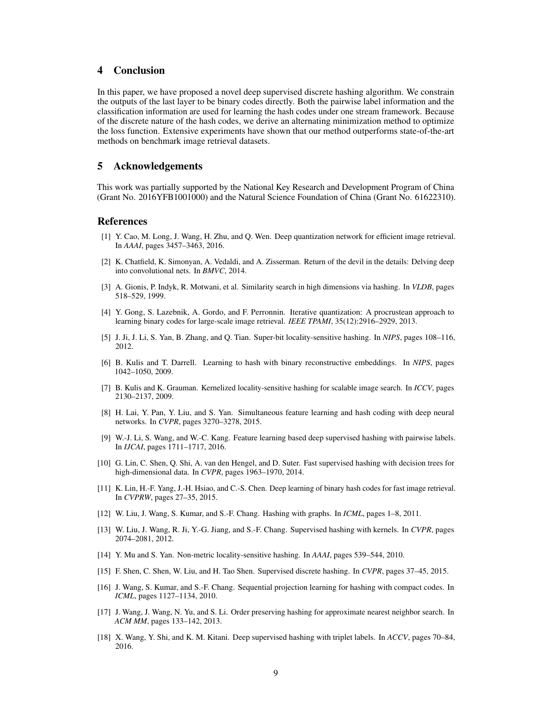## 4 Conclusion

In this paper, we have proposed a novel deep supervised discrete hashing algorithm. We constrain the outputs of the last layer to be binary codes directly. Both the pairwise label information and the classification information are used for learning the hash codes under one stream framework. Because of the discrete nature of the hash codes, we derive an alternating minimization method to optimize the loss function. Extensive experiments have shown that our method outperforms state-of-the-art methods on benchmark image retrieval datasets.

## 5 Acknowledgements

This work was partially supported by the National Key Research and Development Program of China (Grant No. 2016YFB1001000) and the Natural Science Foundation of China (Grant No. 61622310).

## References

- [1] Y. Cao, M. Long, J. Wang, H. Zhu, and Q. Wen. Deep quantization network for efficient image retrieval. In *AAAI*, pages 3457–3463, 2016.
- [2] K. Chatfield, K. Simonyan, A. Vedaldi, and A. Zisserman. Return of the devil in the details: Delving deep into convolutional nets. In *BMVC*, 2014.
- [3] A. Gionis, P. Indyk, R. Motwani, et al. Similarity search in high dimensions via hashing. In *VLDB*, pages 518–529, 1999.
- [4] Y. Gong, S. Lazebnik, A. Gordo, and F. Perronnin. Iterative quantization: A procrustean approach to learning binary codes for large-scale image retrieval. *IEEE TPAMI*, 35(12):2916–2929, 2013.
- [5] J. Ji, J. Li, S. Yan, B. Zhang, and Q. Tian. Super-bit locality-sensitive hashing. In *NIPS*, pages 108–116, 2012.
- [6] B. Kulis and T. Darrell. Learning to hash with binary reconstructive embeddings. In *NIPS*, pages 1042–1050, 2009.
- [7] B. Kulis and K. Grauman. Kernelized locality-sensitive hashing for scalable image search. In *ICCV*, pages 2130–2137, 2009.
- [8] H. Lai, Y. Pan, Y. Liu, and S. Yan. Simultaneous feature learning and hash coding with deep neural networks. In *CVPR*, pages 3270–3278, 2015.
- [9] W.-J. Li, S. Wang, and W.-C. Kang. Feature learning based deep supervised hashing with pairwise labels. In *IJCAI*, pages 1711–1717, 2016.
- [10] G. Lin, C. Shen, Q. Shi, A. van den Hengel, and D. Suter. Fast supervised hashing with decision trees for high-dimensional data. In *CVPR*, pages 1963–1970, 2014.
- [11] K. Lin, H.-F. Yang, J.-H. Hsiao, and C.-S. Chen. Deep learning of binary hash codes for fast image retrieval. In *CVPRW*, pages 27–35, 2015.
- [12] W. Liu, J. Wang, S. Kumar, and S.-F. Chang. Hashing with graphs. In *ICML*, pages 1–8, 2011.
- [13] W. Liu, J. Wang, R. Ji, Y.-G. Jiang, and S.-F. Chang. Supervised hashing with kernels. In *CVPR*, pages 2074–2081, 2012.
- [14] Y. Mu and S. Yan. Non-metric locality-sensitive hashing. In *AAAI*, pages 539–544, 2010.
- [15] F. Shen, C. Shen, W. Liu, and H. Tao Shen. Supervised discrete hashing. In *CVPR*, pages 37–45, 2015.
- [16] J. Wang, S. Kumar, and S.-F. Chang. Sequential projection learning for hashing with compact codes. In *ICML*, pages 1127–1134, 2010.
- [17] J. Wang, J. Wang, N. Yu, and S. Li. Order preserving hashing for approximate nearest neighbor search. In *ACM MM*, pages 133–142, 2013.
- [18] X. Wang, Y. Shi, and K. M. Kitani. Deep supervised hashing with triplet labels. In *ACCV*, pages 70–84, 2016.